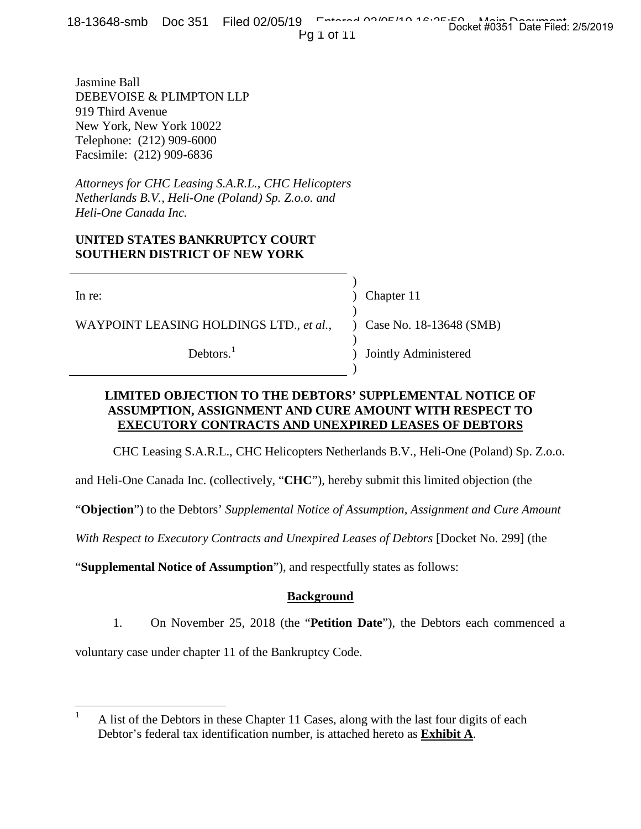18-13648-smb Doc 351 Filed 02/05/19 Entered 02/05/19 Documents Docket #0351 Date Filed: 2/5/2019

Pg 1 of 11

Jasmine Ball DEBEVOISE & PLIMPTON LLP 919 Third Avenue New York, New York 10022 Telephone: (212) 909-6000 Facsimile: (212) 909-6836

*Attorneys for CHC Leasing S.A.R.L., CHC Helicopters Netherlands B.V., Heli-One (Poland) Sp. Z.o.o. and Heli-One Canada Inc.*

## **UNITED STATES BANKRUPTCY COURT SOUTHERN DISTRICT OF NEW YORK**

WAYPOINT LEASING HOLDINGS LTD., *et al.*, ) Case No. 18-13648 (SMB)

Debtors.<sup>1</sup>

In re: (a) Chapter 11

)

)

)

)

) Jointly Administered

## **LIMITED OBJECTION TO THE DEBTORS' SUPPLEMENTAL NOTICE OF ASSUMPTION, ASSIGNMENT AND CURE AMOUNT WITH RESPECT TO EXECUTORY CONTRACTS AND UNEXPIRED LEASES OF DEBTORS**

CHC Leasing S.A.R.L., CHC Helicopters Netherlands B.V., Heli-One (Poland) Sp. Z.o.o.

and Heli-One Canada Inc. (collectively, "**CHC**"), hereby submit this limited objection (the

"**Objection**") to the Debtors' *Supplemental Notice of Assumption, Assignment and Cure Amount*

*With Respect to Executory Contracts and Unexpired Leases of Debtors* [Docket No. 299] (the

"**Supplemental Notice of Assumption**"), and respectfully states as follows:

## **Background**

1. On November 25, 2018 (the "**Petition Date**"), the Debtors each commenced a

voluntary case under chapter 11 of the Bankruptcy Code.

<sup>&</sup>lt;sup>1</sup> A list of the Debtors in these Chapter 11 Cases, along with the last four digits of each Debtor's federal tax identification number, is attached hereto as **Exhibit A**.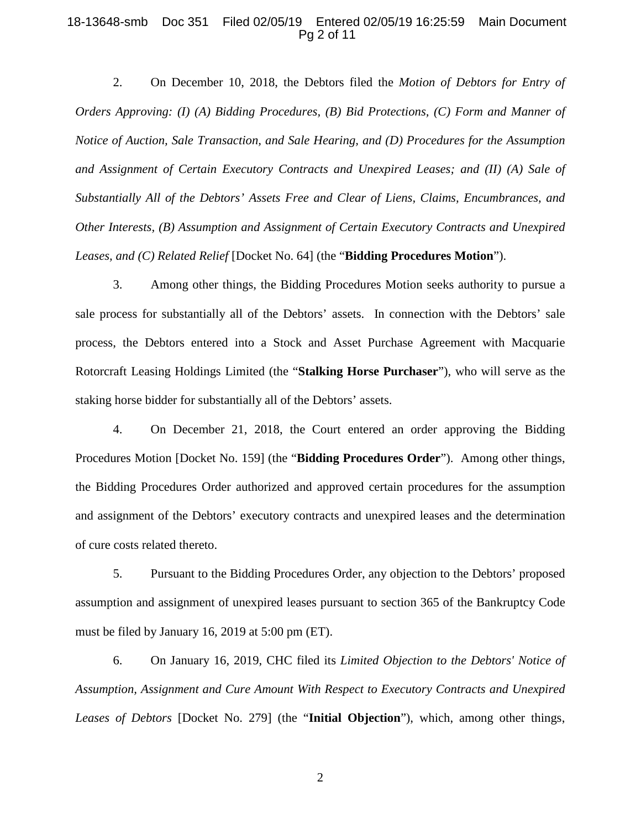#### 18-13648-smb Doc 351 Filed 02/05/19 Entered 02/05/19 16:25:59 Main Document Pg 2 of 11

2. On December 10, 2018, the Debtors filed the *Motion of Debtors for Entry of Orders Approving: (I) (A) Bidding Procedures, (B) Bid Protections, (C) Form and Manner of Notice of Auction, Sale Transaction, and Sale Hearing, and (D) Procedures for the Assumption and Assignment of Certain Executory Contracts and Unexpired Leases; and (II) (A) Sale of Substantially All of the Debtors' Assets Free and Clear of Liens, Claims, Encumbrances, and Other Interests, (B) Assumption and Assignment of Certain Executory Contracts and Unexpired Leases, and (C) Related Relief* [Docket No. 64] (the "**Bidding Procedures Motion**").

3. Among other things, the Bidding Procedures Motion seeks authority to pursue a sale process for substantially all of the Debtors' assets. In connection with the Debtors' sale process, the Debtors entered into a Stock and Asset Purchase Agreement with Macquarie Rotorcraft Leasing Holdings Limited (the "**Stalking Horse Purchaser**"), who will serve as the staking horse bidder for substantially all of the Debtors' assets.

4. On December 21, 2018, the Court entered an order approving the Bidding Procedures Motion [Docket No. 159] (the "**Bidding Procedures Order**"). Among other things, the Bidding Procedures Order authorized and approved certain procedures for the assumption and assignment of the Debtors' executory contracts and unexpired leases and the determination of cure costs related thereto.

5. Pursuant to the Bidding Procedures Order, any objection to the Debtors' proposed assumption and assignment of unexpired leases pursuant to section 365 of the Bankruptcy Code must be filed by January 16, 2019 at 5:00 pm (ET).

6. On January 16, 2019, CHC filed its *Limited Objection to the Debtors' Notice of Assumption, Assignment and Cure Amount With Respect to Executory Contracts and Unexpired Leases of Debtors* [Docket No. 279] (the "**Initial Objection**"), which, among other things,

2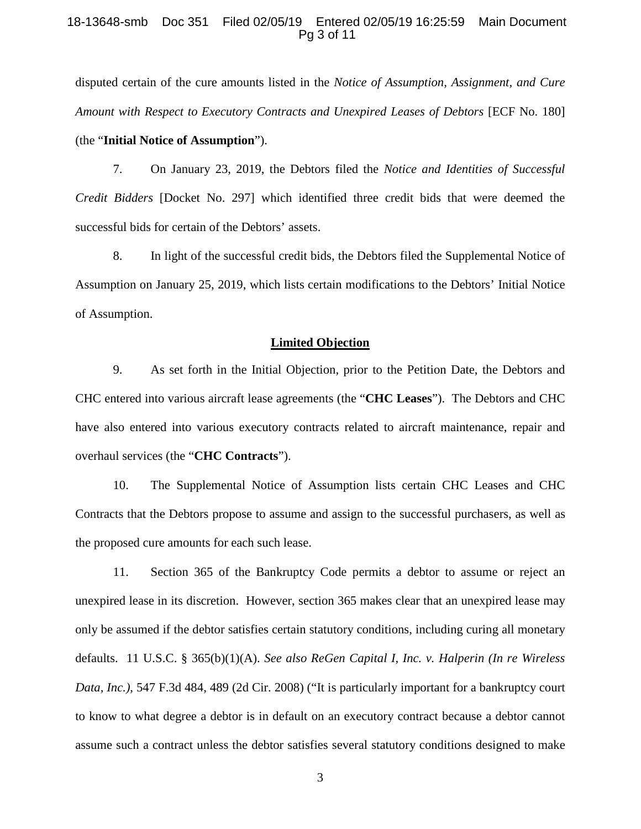#### 18-13648-smb Doc 351 Filed 02/05/19 Entered 02/05/19 16:25:59 Main Document Pg 3 of 11

disputed certain of the cure amounts listed in the *Notice of Assumption, Assignment, and Cure Amount with Respect to Executory Contracts and Unexpired Leases of Debtors* [ECF No. 180] (the "**Initial Notice of Assumption**").

7. On January 23, 2019, the Debtors filed the *Notice and Identities of Successful Credit Bidders* [Docket No. 297] which identified three credit bids that were deemed the successful bids for certain of the Debtors' assets.

8. In light of the successful credit bids, the Debtors filed the Supplemental Notice of Assumption on January 25, 2019, which lists certain modifications to the Debtors' Initial Notice of Assumption.

#### **Limited Objection**

9. As set forth in the Initial Objection, prior to the Petition Date, the Debtors and CHC entered into various aircraft lease agreements (the "**CHC Leases**"). The Debtors and CHC have also entered into various executory contracts related to aircraft maintenance, repair and overhaul services (the "**CHC Contracts**").

10. The Supplemental Notice of Assumption lists certain CHC Leases and CHC Contracts that the Debtors propose to assume and assign to the successful purchasers, as well as the proposed cure amounts for each such lease.

11. Section 365 of the Bankruptcy Code permits a debtor to assume or reject an unexpired lease in its discretion. However, section 365 makes clear that an unexpired lease may only be assumed if the debtor satisfies certain statutory conditions, including curing all monetary defaults. 11 U.S.C. § 365(b)(1)(A). *See also ReGen Capital I, Inc. v. Halperin (In re Wireless Data, Inc.)*, 547 F.3d 484, 489 (2d Cir. 2008) ("It is particularly important for a bankruptcy court to know to what degree a debtor is in default on an executory contract because a debtor cannot assume such a contract unless the debtor satisfies several statutory conditions designed to make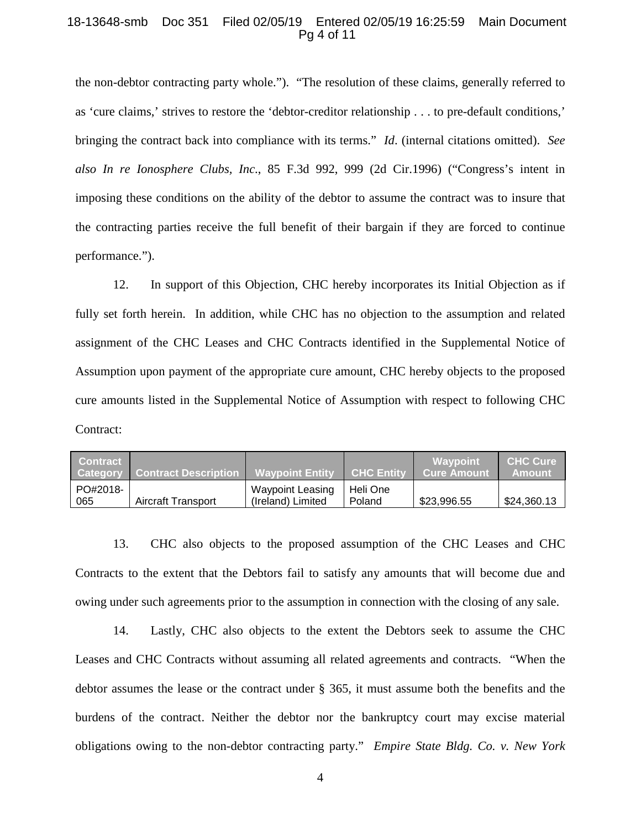#### 18-13648-smb Doc 351 Filed 02/05/19 Entered 02/05/19 16:25:59 Main Document Pg 4 of 11

the non-debtor contracting party whole."). "The resolution of these claims, generally referred to as 'cure claims,' strives to restore the 'debtor-creditor relationship . . . to pre-default conditions,' bringing the contract back into compliance with its terms." *Id*. (internal citations omitted). *See also In re Ionosphere Clubs, Inc*., 85 F.3d 992, 999 (2d Cir.1996) ("Congress's intent in imposing these conditions on the ability of the debtor to assume the contract was to insure that the contracting parties receive the full benefit of their bargain if they are forced to continue performance.").

12. In support of this Objection, CHC hereby incorporates its Initial Objection as if fully set forth herein. In addition, while CHC has no objection to the assumption and related assignment of the CHC Leases and CHC Contracts identified in the Supplemental Notice of Assumption upon payment of the appropriate cure amount, CHC hereby objects to the proposed cure amounts listed in the Supplemental Notice of Assumption with respect to following CHC Contract:

| <b>Contract</b> | <b>Category Contract Description 1</b> | <b>Wavpoint Entity</b>                | <b>CHC Entity</b>  | Wavpoint<br><b>Cure Amount</b> | <b>CHC Cure</b><br><b>Amount</b> |
|-----------------|----------------------------------------|---------------------------------------|--------------------|--------------------------------|----------------------------------|
| PO#2018-<br>065 | Aircraft Transport                     | Waypoint Leasing<br>(Ireland) Limited | Heli One<br>Poland | \$23,996.55                    | \$24,360.13                      |

13. CHC also objects to the proposed assumption of the CHC Leases and CHC Contracts to the extent that the Debtors fail to satisfy any amounts that will become due and owing under such agreements prior to the assumption in connection with the closing of any sale.

14. Lastly, CHC also objects to the extent the Debtors seek to assume the CHC Leases and CHC Contracts without assuming all related agreements and contracts. "When the debtor assumes the lease or the contract under § 365, it must assume both the benefits and the burdens of the contract. Neither the debtor nor the bankruptcy court may excise material obligations owing to the non-debtor contracting party." *Empire State Bldg. Co. v. New York*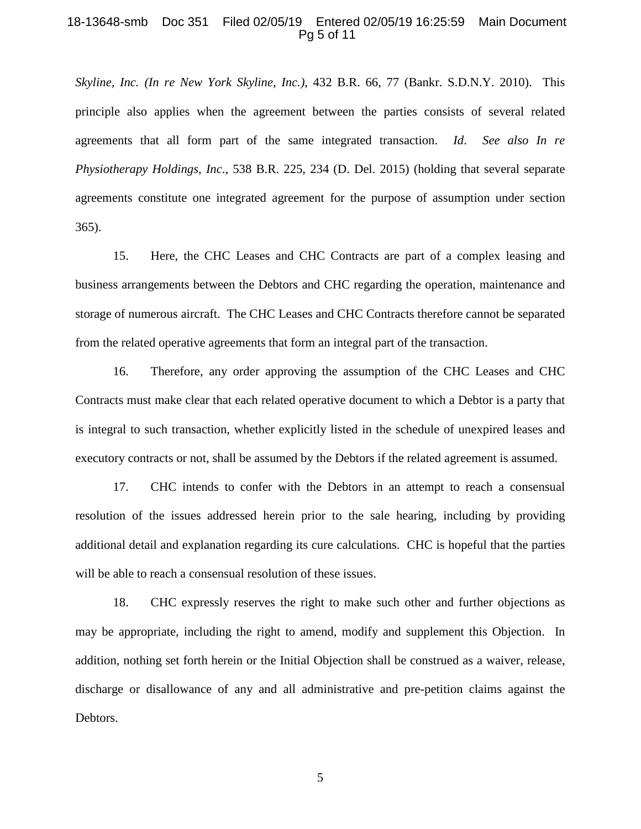#### 18-13648-smb Doc 351 Filed 02/05/19 Entered 02/05/19 16:25:59 Main Document Pg 5 of 11

*Skyline, Inc. (In re New York Skyline, Inc.)*, 432 B.R. 66, 77 (Bankr. S.D.N.Y. 2010). This principle also applies when the agreement between the parties consists of several related agreements that all form part of the same integrated transaction. *Id*. *See also In re Physiotherapy Holdings, Inc*., 538 B.R. 225, 234 (D. Del. 2015) (holding that several separate agreements constitute one integrated agreement for the purpose of assumption under section 365).

15. Here, the CHC Leases and CHC Contracts are part of a complex leasing and business arrangements between the Debtors and CHC regarding the operation, maintenance and storage of numerous aircraft. The CHC Leases and CHC Contracts therefore cannot be separated from the related operative agreements that form an integral part of the transaction.

16. Therefore, any order approving the assumption of the CHC Leases and CHC Contracts must make clear that each related operative document to which a Debtor is a party that is integral to such transaction, whether explicitly listed in the schedule of unexpired leases and executory contracts or not, shall be assumed by the Debtors if the related agreement is assumed.

17. CHC intends to confer with the Debtors in an attempt to reach a consensual resolution of the issues addressed herein prior to the sale hearing, including by providing additional detail and explanation regarding its cure calculations. CHC is hopeful that the parties will be able to reach a consensual resolution of these issues.

18. CHC expressly reserves the right to make such other and further objections as may be appropriate, including the right to amend, modify and supplement this Objection. In addition, nothing set forth herein or the Initial Objection shall be construed as a waiver, release, discharge or disallowance of any and all administrative and pre-petition claims against the Debtors.

5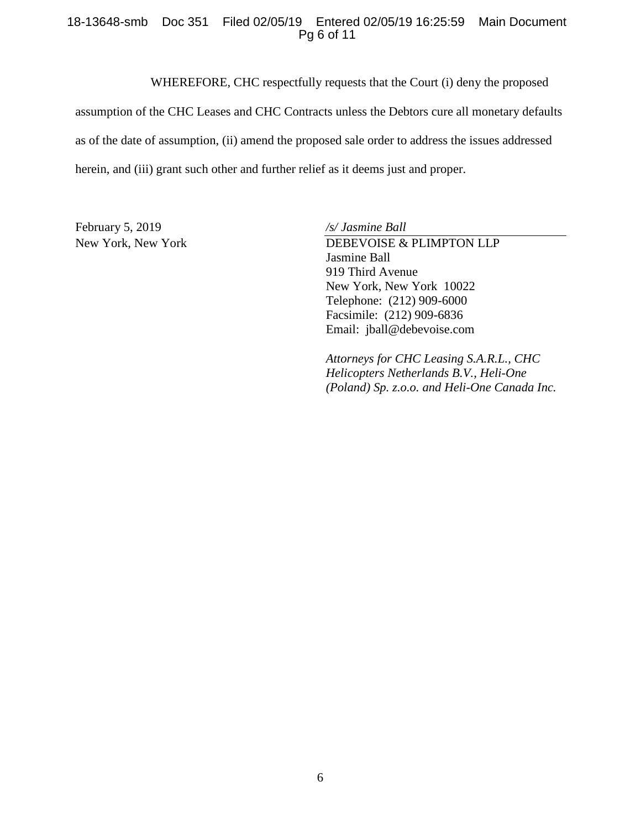### 18-13648-smb Doc 351 Filed 02/05/19 Entered 02/05/19 16:25:59 Main Document Pg 6 of 11

WHEREFORE, CHC respectfully requests that the Court (i) deny the proposed

assumption of the CHC Leases and CHC Contracts unless the Debtors cure all monetary defaults as of the date of assumption, (ii) amend the proposed sale order to address the issues addressed herein, and (iii) grant such other and further relief as it deems just and proper.

February 5, 2019 */s/ Jasmine Ball*

New York, New York DEBEVOISE & PLIMPTON LLP Jasmine Ball 919 Third Avenue New York, New York 10022 Telephone: (212) 909-6000 Facsimile: (212) 909-6836 Email: jball@debevoise.com

> *Attorneys for CHC Leasing S.A.R.L., CHC Helicopters Netherlands B.V., Heli-One (Poland) Sp. z.o.o. and Heli-One Canada Inc.*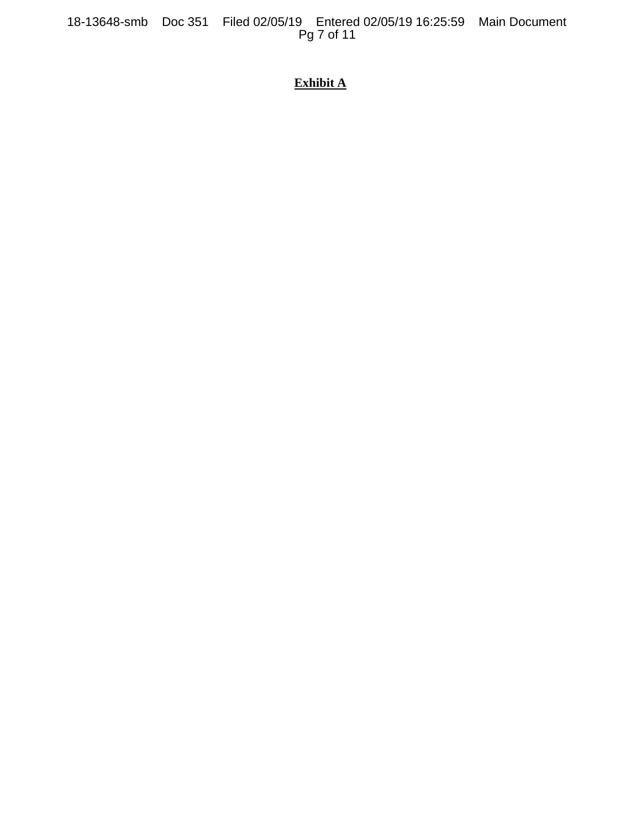18-13648-smb Doc 351 Filed 02/05/19 Entered 02/05/19 16:25:59 Main Document Pg 7 of 11

# **Exhibit A**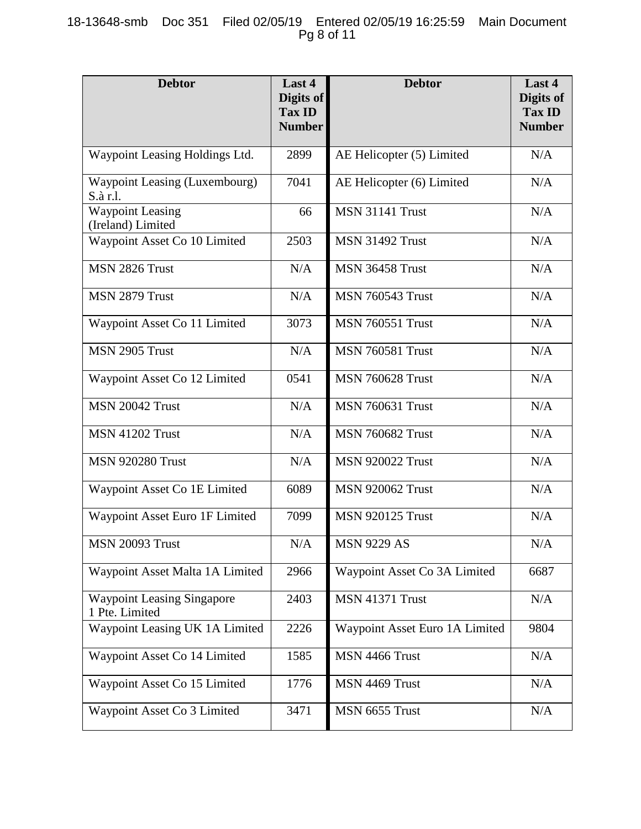## 18-13648-smb Doc 351 Filed 02/05/19 Entered 02/05/19 16:25:59 Main Document Pg 8 of 11

| <b>Debtor</b>                                       | Last 4<br>Digits of<br><b>Tax ID</b><br><b>Number</b> | <b>Debtor</b>                  | Last 4<br>Digits of<br><b>Tax ID</b><br><b>Number</b> |
|-----------------------------------------------------|-------------------------------------------------------|--------------------------------|-------------------------------------------------------|
| Waypoint Leasing Holdings Ltd.                      | 2899                                                  | AE Helicopter (5) Limited      | N/A                                                   |
| <b>Waypoint Leasing (Luxembourg)</b><br>S.à r.l.    | 7041                                                  | AE Helicopter (6) Limited      | N/A                                                   |
| <b>Waypoint Leasing</b><br>(Ireland) Limited        | 66                                                    | <b>MSN 31141 Trust</b>         | N/A                                                   |
| Waypoint Asset Co 10 Limited                        | 2503                                                  | <b>MSN 31492 Trust</b>         | N/A                                                   |
| MSN 2826 Trust                                      | N/A                                                   | <b>MSN 36458 Trust</b>         | N/A                                                   |
| MSN 2879 Trust                                      | N/A                                                   | <b>MSN 760543 Trust</b>        | N/A                                                   |
| Waypoint Asset Co 11 Limited                        | 3073                                                  | <b>MSN 760551 Trust</b>        | N/A                                                   |
| MSN 2905 Trust                                      | N/A                                                   | <b>MSN 760581 Trust</b>        | N/A                                                   |
| Waypoint Asset Co 12 Limited                        | 0541                                                  | <b>MSN 760628 Trust</b>        | N/A                                                   |
| MSN 20042 Trust                                     | N/A                                                   | <b>MSN 760631 Trust</b>        | N/A                                                   |
| <b>MSN 41202 Trust</b>                              | N/A                                                   | <b>MSN 760682 Trust</b>        | N/A                                                   |
| <b>MSN 920280 Trust</b>                             | N/A                                                   | <b>MSN 920022 Trust</b>        | N/A                                                   |
| Waypoint Asset Co 1E Limited                        | 6089                                                  | <b>MSN 920062 Trust</b>        | N/A                                                   |
| Waypoint Asset Euro 1F Limited                      | 7099                                                  | <b>MSN 920125 Trust</b>        | N/A                                                   |
| <b>MSN 20093 Trust</b>                              | $\rm N/A$                                             | <b>MSN 9229 AS</b>             | N/A                                                   |
| Waypoint Asset Malta 1A Limited                     | 2966                                                  | Waypoint Asset Co 3A Limited   | 6687                                                  |
| <b>Waypoint Leasing Singapore</b><br>1 Pte. Limited | 2403                                                  | MSN 41371 Trust                | N/A                                                   |
| Waypoint Leasing UK 1A Limited                      | 2226                                                  | Waypoint Asset Euro 1A Limited | 9804                                                  |
| Waypoint Asset Co 14 Limited                        | 1585                                                  | MSN 4466 Trust                 | N/A                                                   |
| Waypoint Asset Co 15 Limited                        | 1776                                                  | MSN 4469 Trust                 | N/A                                                   |
| Waypoint Asset Co 3 Limited                         | 3471                                                  | MSN 6655 Trust                 | N/A                                                   |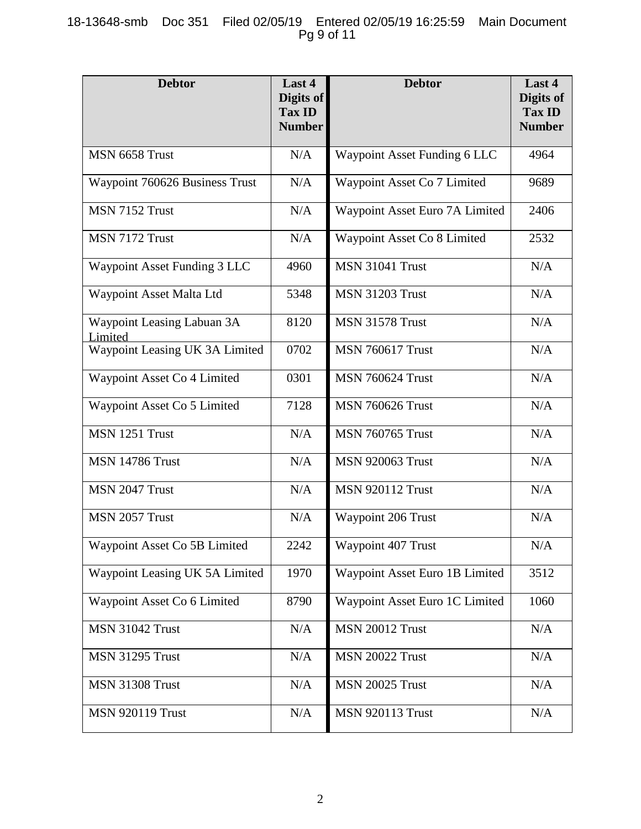## 18-13648-smb Doc 351 Filed 02/05/19 Entered 02/05/19 16:25:59 Main Document Pg 9 of 11

| <b>Debtor</b>                         | Last 4<br>Digits of<br><b>Tax ID</b><br><b>Number</b> | <b>Debtor</b>                  | Last 4<br>Digits of<br><b>Tax ID</b><br><b>Number</b> |
|---------------------------------------|-------------------------------------------------------|--------------------------------|-------------------------------------------------------|
| MSN 6658 Trust                        | N/A                                                   | Waypoint Asset Funding 6 LLC   | 4964                                                  |
| Waypoint 760626 Business Trust        | N/A                                                   | Waypoint Asset Co 7 Limited    | 9689                                                  |
| MSN 7152 Trust                        | N/A                                                   | Waypoint Asset Euro 7A Limited | 2406                                                  |
| MSN 7172 Trust                        | N/A                                                   | Waypoint Asset Co 8 Limited    | 2532                                                  |
| Waypoint Asset Funding 3 LLC          | 4960                                                  | <b>MSN 31041 Trust</b>         | N/A                                                   |
| Waypoint Asset Malta Ltd              | 5348                                                  | <b>MSN 31203 Trust</b>         | N/A                                                   |
| Waypoint Leasing Labuan 3A<br>Limited | 8120                                                  | <b>MSN 31578 Trust</b>         | N/A                                                   |
| Waypoint Leasing UK 3A Limited        | 0702                                                  | <b>MSN 760617 Trust</b>        | N/A                                                   |
| Waypoint Asset Co 4 Limited           | 0301                                                  | <b>MSN 760624 Trust</b>        | N/A                                                   |
| Waypoint Asset Co 5 Limited           | 7128                                                  | <b>MSN 760626 Trust</b>        | N/A                                                   |
| MSN 1251 Trust                        | N/A                                                   | <b>MSN 760765 Trust</b>        | N/A                                                   |
| <b>MSN 14786 Trust</b>                | N/A                                                   | <b>MSN 920063 Trust</b>        | N/A                                                   |
| MSN 2047 Trust                        | N/A                                                   | <b>MSN 920112 Trust</b>        | N/A                                                   |
| MSN 2057 Trust                        | N/A                                                   | Waypoint 206 Trust             | N/A                                                   |
| Waypoint Asset Co 5B Limited          | 2242                                                  | Waypoint 407 Trust             | N/A                                                   |
| Waypoint Leasing UK 5A Limited        | 1970                                                  | Waypoint Asset Euro 1B Limited | 3512                                                  |
| Waypoint Asset Co 6 Limited           | 8790                                                  | Waypoint Asset Euro 1C Limited | 1060                                                  |
| <b>MSN 31042 Trust</b>                | N/A                                                   | <b>MSN 20012 Trust</b>         | N/A                                                   |
| <b>MSN 31295 Trust</b>                | N/A                                                   | <b>MSN 20022 Trust</b>         | N/A                                                   |
| <b>MSN 31308 Trust</b>                | N/A                                                   | <b>MSN 20025 Trust</b>         | N/A                                                   |
| <b>MSN 920119 Trust</b>               | N/A                                                   | <b>MSN 920113 Trust</b>        | N/A                                                   |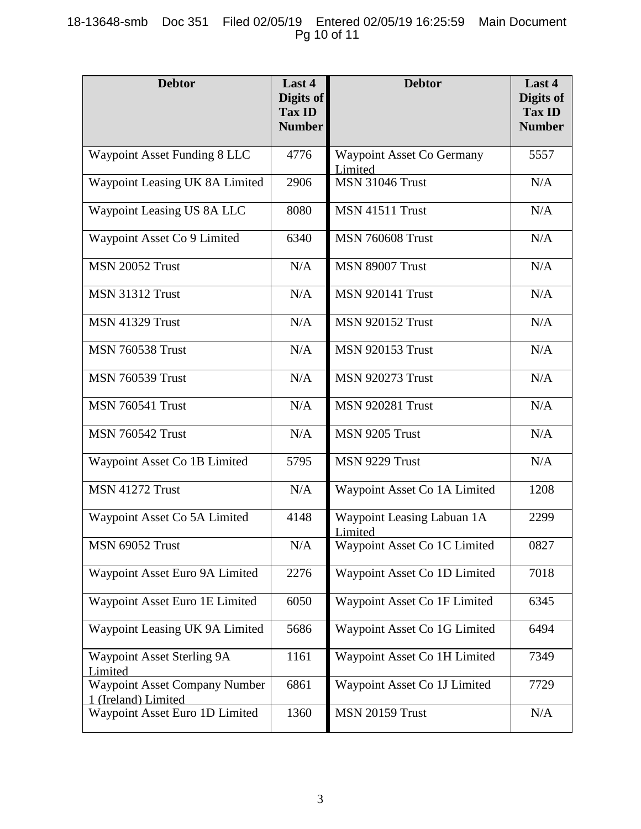## 18-13648-smb Doc 351 Filed 02/05/19 Entered 02/05/19 16:25:59 Main Document Pg 10 of 11

| <b>Debtor</b>                                               | Last 4<br>Digits of<br><b>Tax ID</b><br><b>Number</b> | <b>Debtor</b>                         | Last 4<br>Digits of<br><b>Tax ID</b><br><b>Number</b> |
|-------------------------------------------------------------|-------------------------------------------------------|---------------------------------------|-------------------------------------------------------|
| <b>Waypoint Asset Funding 8 LLC</b>                         | 4776                                                  | Waypoint Asset Co Germany<br>Limited  | 5557                                                  |
| Waypoint Leasing UK 8A Limited                              | 2906                                                  | <b>MSN 31046 Trust</b>                | N/A                                                   |
| Waypoint Leasing US 8A LLC                                  | 8080                                                  | <b>MSN 41511 Trust</b>                | N/A                                                   |
| Waypoint Asset Co 9 Limited                                 | 6340                                                  | <b>MSN 760608 Trust</b>               | N/A                                                   |
| <b>MSN 20052 Trust</b>                                      | N/A                                                   | <b>MSN 89007 Trust</b>                | N/A                                                   |
| <b>MSN 31312 Trust</b>                                      | N/A                                                   | <b>MSN 920141 Trust</b>               | N/A                                                   |
| <b>MSN 41329 Trust</b>                                      | N/A                                                   | <b>MSN 920152 Trust</b>               | N/A                                                   |
| <b>MSN 760538 Trust</b>                                     | N/A                                                   | <b>MSN 920153 Trust</b>               | N/A                                                   |
| <b>MSN 760539 Trust</b>                                     | N/A                                                   | <b>MSN 920273 Trust</b>               | N/A                                                   |
| <b>MSN 760541 Trust</b>                                     | N/A                                                   | <b>MSN 920281 Trust</b>               | N/A                                                   |
| <b>MSN 760542 Trust</b>                                     | N/A                                                   | MSN 9205 Trust                        | N/A                                                   |
| Waypoint Asset Co 1B Limited                                | 5795                                                  | MSN 9229 Trust                        | N/A                                                   |
| MSN 41272 Trust                                             | N/A                                                   | Waypoint Asset Co 1A Limited          | 1208                                                  |
| Waypoint Asset Co 5A Limited                                | 4148                                                  | Waypoint Leasing Labuan 1A<br>Limited | 2299                                                  |
| <b>MSN 69052 Trust</b>                                      | N/A                                                   | Waypoint Asset Co 1C Limited          | 0827                                                  |
| Waypoint Asset Euro 9A Limited                              | 2276                                                  | Waypoint Asset Co 1D Limited          | 7018                                                  |
| Waypoint Asset Euro 1E Limited                              | 6050                                                  | Waypoint Asset Co 1F Limited          | 6345                                                  |
| Waypoint Leasing UK 9A Limited                              | 5686                                                  | Waypoint Asset Co 1G Limited          | 6494                                                  |
| Waypoint Asset Sterling 9A<br>Limited                       | 1161                                                  | Waypoint Asset Co 1H Limited          | 7349                                                  |
| <b>Waypoint Asset Company Number</b><br>1 (Ireland) Limited | 6861                                                  | Waypoint Asset Co 1J Limited          | 7729                                                  |
| Waypoint Asset Euro 1D Limited                              | 1360                                                  | <b>MSN 20159 Trust</b>                | N/A                                                   |